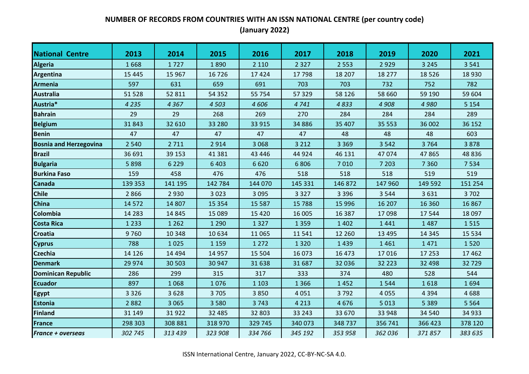| <b>National Centre</b>        | 2013     | 2014    | 2015     | 2016    | 2017    | 2018     | 2019     | 2020    | 2021    |
|-------------------------------|----------|---------|----------|---------|---------|----------|----------|---------|---------|
| Algeria                       | 1668     | 1727    | 1890     | 2 1 1 0 | 2 3 2 7 | 2 5 5 3  | 2929     | 3 2 4 5 | 3 5 4 1 |
| Argentina                     | 15 4 45  | 15 967  | 16 7 26  | 17424   | 17798   | 18 207   | 18 277   | 18526   | 18 9 30 |
| <b>Armenia</b>                | 597      | 631     | 659      | 691     | 703     | 703      | 732      | 752     | 782     |
| <b>Australia</b>              | 51 528   | 52 811  | 54 3 52  | 55 754  | 57 329  | 58 1 26  | 58 660   | 59 190  | 59 604  |
| Austria*                      | 4 2 3 5  | 4 3 6 7 | 4503     | 4606    | 4741    | 4833     | 4 9 0 8  | 4 9 8 0 | 5 1 5 4 |
| <b>Bahrain</b>                | 29       | 29      | 268      | 269     | 270     | 284      | 284      | 284     | 289     |
| <b>Belgium</b>                | 31843    | 32 610  | 33 2 80  | 33 915  | 34 8 86 | 35 407   | 35 553   | 36 002  | 36 152  |
| <b>Benin</b>                  | 47       | 47      | 47       | 47      | 47      | 48       | 48       | 48      | 603     |
| <b>Bosnia and Herzegovina</b> | 2 5 4 0  | 2 7 1 1 | 2914     | 3 0 6 8 | 3 2 1 2 | 3 3 6 9  | 3 5 4 2  | 3764    | 3878    |
| <b>Brazil</b>                 | 36 691   | 39 153  | 41 3 8 1 | 43 4 46 | 44 9 24 | 46 131   | 47074    | 47865   | 48 8 36 |
| <b>Bulgaria</b>               | 5898     | 6 2 2 9 | 6 4 0 3  | 6620    | 6806    | 7010     | 7 2 0 3  | 7 3 6 0 | 7534    |
| <b>Burkina Faso</b>           | 159      | 458     | 476      | 476     | 518     | 518      | 518      | 519     | 519     |
| <b>Canada</b>                 | 139 353  | 141 195 | 142 784  | 144 070 | 145 331 | 146 872  | 147 960  | 149 592 | 151 254 |
| <b>Chile</b>                  | 2866     | 2 9 3 0 | 3 0 2 3  | 3 0 9 5 | 3 3 2 7 | 3 3 9 6  | 3 5 4 4  | 3631    | 3702    |
| <b>China</b>                  | 14 5 72  | 14 807  | 15 3 5 4 | 15 5 87 | 15 788  | 15 9 96  | 16 207   | 16 360  | 16 8 67 |
| Colombia                      | 14 2 8 3 | 14 8 45 | 15 0 89  | 15 4 20 | 16 005  | 16 3 8 7 | 17098    | 17544   | 18 0 97 |
| <b>Costa Rica</b>             | 1 2 3 3  | 1 2 6 2 | 1 2 9 0  | 1327    | 1 3 5 9 | 1 4 0 2  | 1441     | 1487    | 1515    |
| <b>Croatia</b>                | 9760     | 10 348  | 10 634   | 11 0 65 | 11 541  | 12 2 6 0 | 13 4 95  | 14 3 45 | 15 5 34 |
| <b>Cyprus</b>                 | 788      | 1025    | 1 1 5 9  | 1 2 7 2 | 1 3 2 0 | 1439     | 1461     | 1471    | 1520    |
| <b>Czechia</b>                | 14 1 26  | 14 4 94 | 14 9 57  | 15 5 04 | 16 073  | 16 473   | 17016    | 17 253  | 17 4 62 |
| <b>Denmark</b>                | 29 974   | 30 503  | 30 947   | 31 638  | 31 687  | 32 036   | 32 2 2 3 | 32 4 98 | 32729   |
| <b>Dominican Republic</b>     | 286      | 299     | 315      | 317     | 333     | 374      | 480      | 528     | 544     |
| <b>Ecuador</b>                | 897      | 1068    | 1076     | 1 1 0 3 | 1 3 6 6 | 1452     | 1544     | 1618    | 1694    |
| Egypt                         | 3 3 2 6  | 3628    | 3705     | 3850    | 4 0 5 1 | 3792     | 4 0 5 5  | 4 3 9 4 | 4688    |
| <b>Estonia</b>                | 2882     | 3 0 6 5 | 3 5 8 0  | 3743    | 4 2 1 3 | 4676     | 5 0 1 3  | 5 3 8 9 | 5 5 6 4 |
| <b>Finland</b>                | 31 149   | 31922   | 32 485   | 32 803  | 33 243  | 33 670   | 33 948   | 34 540  | 34 933  |
| <b>France</b>                 | 298 303  | 308 881 | 318 970  | 329 745 | 340 073 | 348737   | 356 741  | 366 423 | 378 120 |
| <b>France + overseas</b>      | 302 745  | 313 439 | 323 908  | 334 766 | 345 192 | 353 958  | 362 036  | 371857  | 383 635 |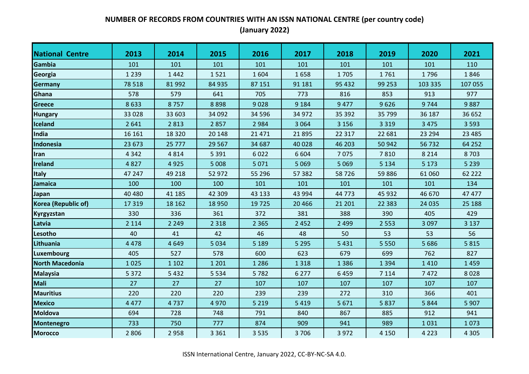| <b>National Centre</b> | 2013    | 2014    | 2015    | 2016     | 2017    | 2018    | 2019     | 2020    | 2021     |
|------------------------|---------|---------|---------|----------|---------|---------|----------|---------|----------|
| Gambia                 | 101     | 101     | 101     | 101      | 101     | 101     | 101      | 101     | 110      |
| Georgia                | 1 2 3 9 | 1442    | 1521    | 1604     | 1658    | 1705    | 1761     | 1796    | 1846     |
| <b>Germany</b>         | 78 518  | 81 992  | 84 935  | 87 151   | 91 181  | 95 432  | 99 253   | 103 335 | 107 055  |
| Ghana                  | 578     | 579     | 641     | 705      | 773     | 816     | 853      | 913     | 977      |
| Greece                 | 8633    | 8757    | 8898    | 9028     | 9 1 8 4 | 9 4 7 7 | 9626     | 9744    | 9887     |
| <b>Hungary</b>         | 33 0 28 | 33 603  | 34 092  | 34 5 96  | 34 972  | 35 392  | 35 799   | 36 187  | 36 652   |
| <b>Iceland</b>         | 2641    | 2813    | 2857    | 2984     | 3 0 6 4 | 3 1 5 6 | 3 3 1 9  | 3 4 7 5 | 3 5 9 3  |
| India                  | 16 16 1 | 18 3 20 | 20 14 8 | 21 4 7 1 | 21 8 95 | 22 317  | 22 681   | 23 294  | 23 4 8 5 |
| Indonesia              | 23 673  | 25 777  | 29 5 67 | 34 687   | 40 0 28 | 46 203  | 50 942   | 56732   | 64 25 2  |
| <b>Iran</b>            | 4 3 4 2 | 4814    | 5 3 9 1 | 6022     | 6 6 0 4 | 7075    | 7810     | 8 2 1 4 | 8703     |
| <b>Ireland</b>         | 4827    | 4925    | 5 0 0 8 | 5071     | 5 0 6 9 | 5 0 6 9 | 5 1 3 4  | 5 1 7 3 | 5 2 3 9  |
| <b>Italy</b>           | 47 247  | 49 218  | 52 972  | 55 296   | 57 382  | 58726   | 59886    | 61 060  | 62 2 2 2 |
| <b>Jamaica</b>         | 100     | 100     | 100     | 101      | 101     | 101     | 101      | 101     | 134      |
| Japan                  | 40 480  | 41 185  | 42 309  | 43 133   | 43 994  | 44 773  | 45 9 32  | 46 670  | 47 477   |
| Korea (Republic of)    | 17 319  | 18 16 2 | 18 9 50 | 19725    | 20 4 66 | 21 201  | 22 3 8 3 | 24 0 35 | 25 188   |
| <b>Kyrgyzstan</b>      | 330     | 336     | 361     | 372      | 381     | 388     | 390      | 405     | 429      |
| Latvia                 | 2 1 1 4 | 2 2 4 9 | 2 3 1 8 | 2 3 6 5  | 2 4 5 2 | 2 4 9 9 | 2 5 5 3  | 3 0 9 7 | 3 1 3 7  |
| Lesotho                | 40      | 41      | 42      | 46       | 48      | 50      | 53       | 53      | 56       |
| Lithuania              | 4 4 7 8 | 4 6 4 9 | 5 0 3 4 | 5 1 8 9  | 5 2 9 5 | 5 4 3 1 | 5 5 5 0  | 5 6 8 6 | 5815     |
| Luxembourg             | 405     | 527     | 578     | 600      | 623     | 679     | 699      | 762     | 827      |
| <b>North Macedonia</b> | 1025    | 1 1 0 2 | 1 2 0 1 | 1 2 8 6  | 1 3 1 8 | 1 3 8 6 | 1 3 9 4  | 1410    | 1459     |
| <b>Malaysia</b>        | 5 3 7 2 | 5 4 3 2 | 5 5 3 4 | 5782     | 6 2 7 7 | 6459    | 7 1 1 4  | 7472    | 8028     |
| <b>Mali</b>            | 27      | 27      | 27      | 107      | 107     | 107     | 107      | 107     | 107      |
| <b>Mauritius</b>       | 220     | 220     | 220     | 239      | 239     | 272     | 310      | 366     | 401      |
| <b>Mexico</b>          | 4 4 7 7 | 4737    | 4970    | 5 2 1 9  | 5 4 1 9 | 5 6 7 1 | 5837     | 5844    | 5 9 0 7  |
| <b>Moldova</b>         | 694     | 728     | 748     | 791      | 840     | 867     | 885      | 912     | 941      |
| <b>Montenegro</b>      | 733     | 750     | 777     | 874      | 909     | 941     | 989      | 1031    | 1073     |
| <b>Morocco</b>         | 2806    | 2958    | 3 3 6 1 | 3 5 3 5  | 3706    | 3 9 7 2 | 4 1 5 0  | 4 2 2 3 | 4 3 0 5  |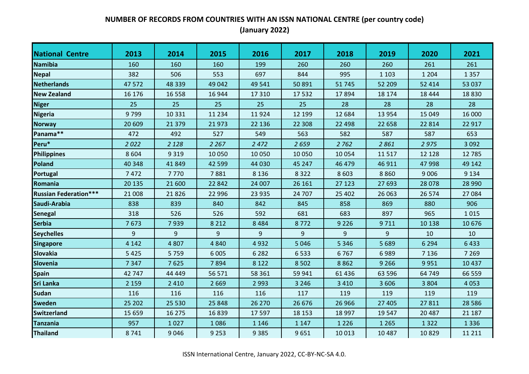| <b>National Centre</b>       | 2013    | 2014     | 2015     | 2016    | 2017    | 2018    | 2019    | 2020    | 2021     |
|------------------------------|---------|----------|----------|---------|---------|---------|---------|---------|----------|
| <b>Namibia</b>               | 160     | 160      | 160      | 199     | 260     | 260     | 260     | 261     | 261      |
| Nepal                        | 382     | 506      | 553      | 697     | 844     | 995     | 1 1 0 3 | 1 2 0 4 | 1 3 5 7  |
| <b>Netherlands</b>           | 47 572  | 48 339   | 49 042   | 49 541  | 50 891  | 51745   | 52 209  | 52 414  | 53 037   |
| <b>New Zealand</b>           | 16 176  | 16 5 5 8 | 16 944   | 17 3 10 | 17532   | 17894   | 18 174  | 18 4 44 | 18830    |
| <b>Niger</b>                 | 25      | 25       | 25       | 25      | 25      | 28      | 28      | 28      | 28       |
| <b>Nigeria</b>               | 9799    | 10 3 31  | 11 2 3 4 | 11924   | 12 199  | 12 684  | 13 9 54 | 15 0 49 | 16 000   |
| <b>Norway</b>                | 20 609  | 21 3 7 9 | 21973    | 22 136  | 22 308  | 22 4 98 | 22 658  | 22 8 14 | 22 917   |
| Panama**                     | 472     | 492      | 527      | 549     | 563     | 582     | 587     | 587     | 653      |
| Peru*                        | 2022    | 2 1 2 8  | 2 2 6 7  | 2 4 7 2 | 2659    | 2 7 6 2 | 2861    | 2975    | 3 0 9 2  |
| <b>Philippines</b>           | 8 6 0 4 | 9 3 1 9  | 10 050   | 10 0 50 | 10 050  | 10 0 54 | 11517   | 12 1 28 | 12 7 85  |
| Poland                       | 40 348  | 41 849   | 42 5 9 9 | 44 030  | 45 247  | 46 479  | 46 911  | 47 998  | 49 142   |
| Portugal                     | 7472    | 7770     | 7881     | 8 1 3 6 | 8 3 2 2 | 8 6 0 3 | 8860    | 9 0 0 6 | 9 1 3 4  |
| Romania                      | 20 13 5 | 21 600   | 22 842   | 24 007  | 26 16 1 | 27 123  | 27 693  | 28 0 78 | 28 990   |
| <b>Russian Federation***</b> | 21 008  | 21826    | 22 996   | 23 9 35 | 24 707  | 25 402  | 26 063  | 26 574  | 27 084   |
| Saudi-Arabia                 | 838     | 839      | 840      | 842     | 845     | 858     | 869     | 880     | 906      |
| <b>Senegal</b>               | 318     | 526      | 526      | 592     | 681     | 683     | 897     | 965     | 1015     |
| <b>Serbia</b>                | 7673    | 7939     | 8 2 1 2  | 8 4 8 4 | 8772    | 9 2 2 6 | 9711    | 10 138  | 10 676   |
| <b>Seychelles</b>            | 9       | 9        | 9        | 9       | 9       | 9       | 9       | 10      | 10       |
| <b>Singapore</b>             | 4 1 4 2 | 4807     | 4 8 4 0  | 4932    | 5 0 4 6 | 5 3 4 6 | 5 6 8 9 | 6 2 9 4 | 6433     |
| <b>Slovakia</b>              | 5 4 2 5 | 5759     | 6 0 0 5  | 6 2 8 2 | 6533    | 6767    | 6989    | 7 1 3 6 | 7 2 6 9  |
| Slovenia                     | 7 3 4 7 | 7625     | 7894     | 8 1 2 2 | 8 5 0 2 | 8862    | 9 2 6 6 | 9951    | 10 4 37  |
| <b>Spain</b>                 | 42 747  | 44 4 4 9 | 56 571   | 58 361  | 59 941  | 61 4 36 | 63 596  | 64 749  | 66 559   |
| <b>Sri Lanka</b>             | 2 1 5 9 | 2 4 1 0  | 2 6 6 9  | 2 9 9 3 | 3 2 4 6 | 3 4 1 0 | 3 6 0 6 | 3 8 0 4 | 4 0 5 3  |
| <b>Sudan</b>                 | 116     | 116      | 116      | 116     | 117     | 119     | 119     | 119     | 119      |
| <b>Sweden</b>                | 25 202  | 25 5 30  | 25 848   | 26 270  | 26 676  | 26 966  | 27 405  | 27811   | 28 5 8 6 |
| <b>Switzerland</b>           | 15 6 59 | 16 275   | 16839    | 17 5 97 | 18 15 3 | 18 9 97 | 19 5 47 | 20 487  | 21 187   |
| <b>Tanzania</b>              | 957     | 1027     | 1086     | 1 1 4 6 | 1 1 4 7 | 1 2 2 6 | 1 2 6 5 | 1 3 2 2 | 1 3 3 6  |
| <b>Thailand</b>              | 8741    | 9046     | 9 2 5 3  | 9 3 8 5 | 9651    | 10 013  | 10 4 87 | 10829   | 11 211   |